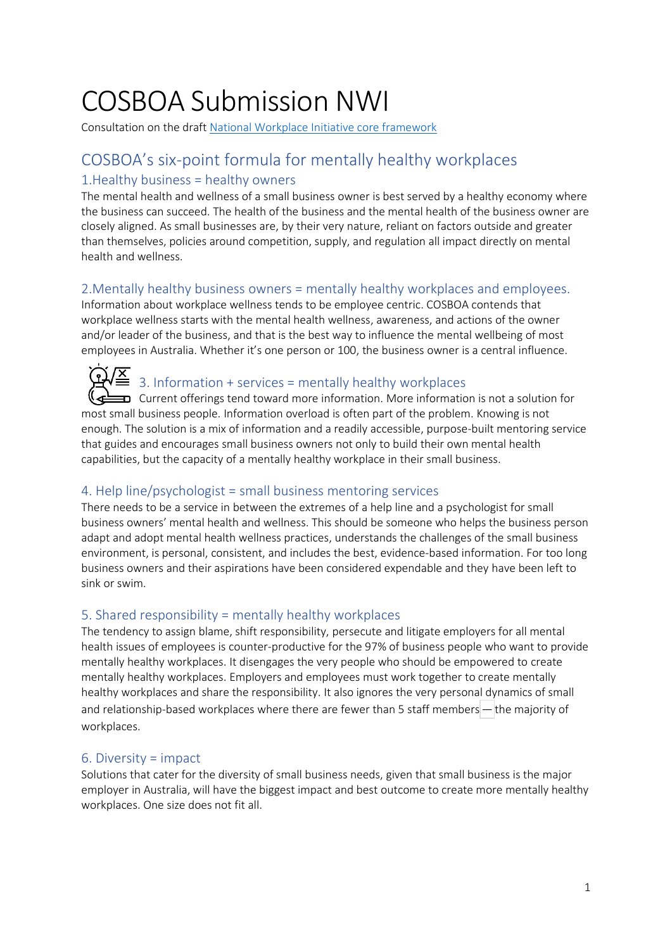# COSBOA Submission NWI

Consultation on the draft [National Workplace Initiative core framework](https://cosboa2.sharepoint.com/:b:/g/EV7teg6gc_ZBt6epgNelz3YBZj46TpFNWRD5bXcAdFnN9g?e=VYEO53)

## COSBOA's six-point formula for mentally healthy workplaces

## 1.Healthy business = healthy owners

The mental health and wellness of a small business owner is best served by a healthy economy where the business can succeed. The health of the business and the mental health of the business owner are closely aligned. As small businesses are, by their very nature, reliant on factors outside and greater than themselves, policies around competition, supply, and regulation all impact directly on mental health and wellness.

### 2.Mentally healthy business owners = mentally healthy workplaces and employees.

Information about workplace wellness tends to be employee centric. COSBOA contends that workplace wellness starts with the mental health wellness, awareness, and actions of the owner and/or leader of the business, and that is the best way to influence the mental wellbeing of most employees in Australia. Whether it's one person or 100, the business owner is a central influence.

# $\overline{\mathbf{X}}$  3. Information + services = mentally healthy workplaces

 $\bf{D}$  Current offerings tend toward more information. More information is not a solution for most small business people. Information overload is often part of the problem. Knowing is not enough. The solution is a mix of information and a readily accessible, purpose-built mentoring service that guides and encourages small business owners not only to build their own mental health capabilities, but the capacity of a mentally healthy workplace in their small business.

## 4. Help line/psychologist = small business mentoring services

There needs to be a service in between the extremes of a help line and a psychologist for small business owners' mental health and wellness. This should be someone who helps the business person adapt and adopt mental health wellness practices, understands the challenges of the small business environment, is personal, consistent, and includes the best, evidence-based information. For too long business owners and their aspirations have been considered expendable and they have been left to sink or swim.

## 5. Shared responsibility = mentally healthy workplaces

The tendency to assign blame, shift responsibility, persecute and litigate employers for all mental health issues of employees is counter-productive for the 97% of business people who want to provide mentally healthy workplaces. It disengages the very people who should be empowered to create mentally healthy workplaces. Employers and employees must work together to create mentally healthy workplaces and share the responsibility. It also ignores the very personal dynamics of small and relationship-based workplaces where there are fewer than 5 staff members—the majority of workplaces.

## 6. Diversity = impact

Solutions that cater for the diversity of small business needs, given that small business is the major employer in Australia, will have the biggest impact and best outcome to create more mentally healthy workplaces. One size does not fit all.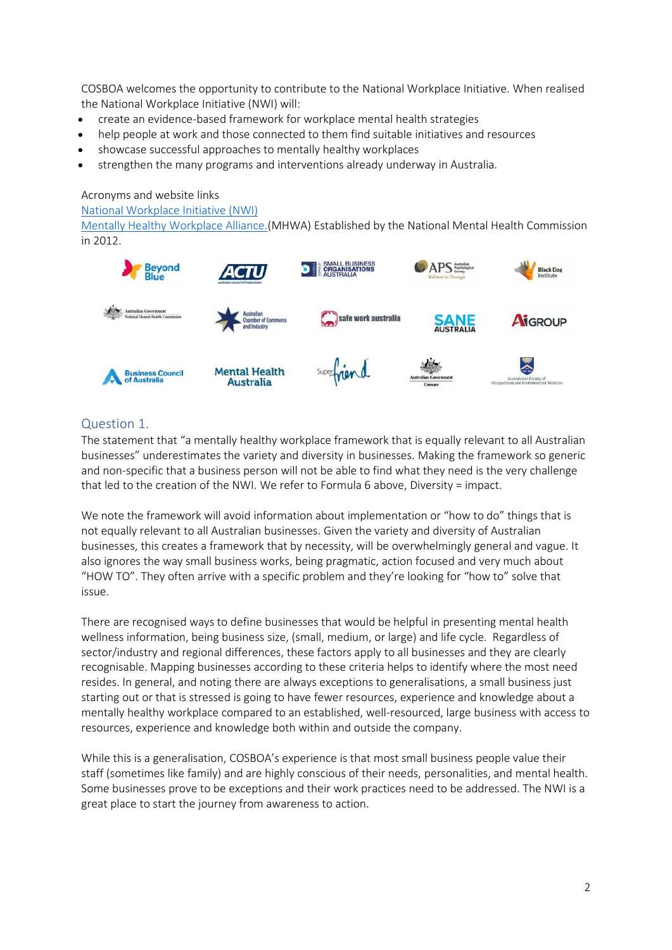COSBOA welcomes the opportunity to contribute to the National Workplace Initiative. When realised the National Workplace Initiative (NWI) will:

- create an evidence-based framework for workplace mental health strategies
- help people at work and those connected to them find suitable initiatives and resources
- showcase successful approaches to mentally healthy workplaces
- strengthen the many programs and interventions already underway in Australia.

Acronyms and website links

[National Workplace Initiative \(NWI\)](file:///C:/Users/Tara/Downloads/National%20Workplace%20Initiative%20(NWI))

[Mentally Healthy Workplace Alliance.\(](https://mentallyhealthyworkplacealliance.org.au/)MHWA) Established by the National Mental Health Commission in 2012.



#### Question 1.

The statement that "a mentally healthy workplace framework that is equally relevant to all Australian businesses" underestimates the variety and diversity in businesses. Making the framework so generic and non-specific that a business person will not be able to find what they need is the very challenge that led to the creation of the NWI. We refer to Formula 6 above, Diversity = impact.

We note the framework will avoid information about implementation or "how to do" things that is not equally relevant to all Australian businesses. Given the variety and diversity of Australian businesses, this creates a framework that by necessity, will be overwhelmingly general and vague. It also ignores the way small business works, being pragmatic, action focused and very much about "HOW TO". They often arrive with a specific problem and they're looking for "how to" solve that issue.

There are recognised ways to define businesses that would be helpful in presenting mental health wellness information, being business size, (small, medium, or large) and life cycle. Regardless of sector/industry and regional differences, these factors apply to all businesses and they are clearly recognisable. Mapping businesses according to these criteria helps to identify where the most need resides. In general, and noting there are always exceptions to generalisations, a small business just starting out or that is stressed is going to have fewer resources, experience and knowledge about a mentally healthy workplace compared to an established, well-resourced, large business with access to resources, experience and knowledge both within and outside the company.

While this is a generalisation, COSBOA's experience is that most small business people value their staff (sometimes like family) and are highly conscious of their needs, personalities, and mental health. Some businesses prove to be exceptions and their work practices need to be addressed. The NWI is a great place to start the journey from awareness to action.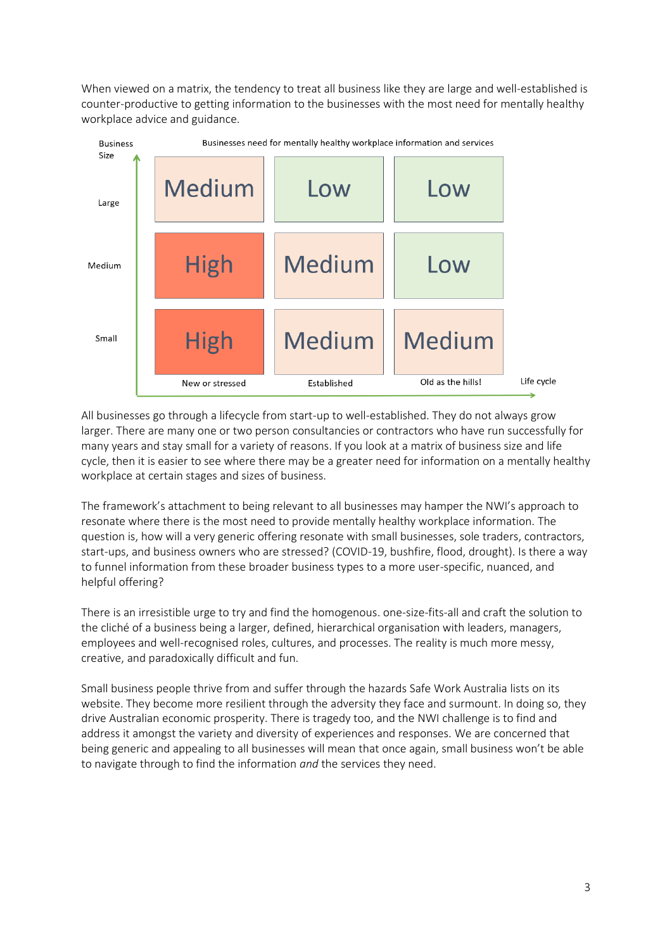When viewed on a matrix, the tendency to treat all business like they are large and well-established is counter-productive to getting information to the businesses with the most need for mentally healthy workplace advice and guidance.



All businesses go through a lifecycle from start-up to well-established. They do not always grow larger. There are many one or two person consultancies or contractors who have run successfully for many years and stay small for a variety of reasons. If you look at a matrix of business size and life cycle, then it is easier to see where there may be a greater need for information on a mentally healthy workplace at certain stages and sizes of business.

The framework's attachment to being relevant to all businesses may hamper the NWI's approach to resonate where there is the most need to provide mentally healthy workplace information. The question is, how will a very generic offering resonate with small businesses, sole traders, contractors, start-ups, and business owners who are stressed? (COVID-19, bushfire, flood, drought). Is there a way to funnel information from these broader business types to a more user-specific, nuanced, and helpful offering?

There is an irresistible urge to try and find the homogenous. one-size-fits-all and craft the solution to the cliché of a business being a larger, defined, hierarchical organisation with leaders, managers, employees and well-recognised roles, cultures, and processes. The reality is much more messy, creative, and paradoxically difficult and fun.

Small business people thrive from and suffer through the hazards Safe Work Australia lists on its website. They become more resilient through the adversity they face and surmount. In doing so, they drive Australian economic prosperity. There is tragedy too, and the NWI challenge is to find and address it amongst the variety and diversity of experiences and responses. We are concerned that being generic and appealing to all businesses will mean that once again, small business won't be able to navigate through to find the information *and* the services they need.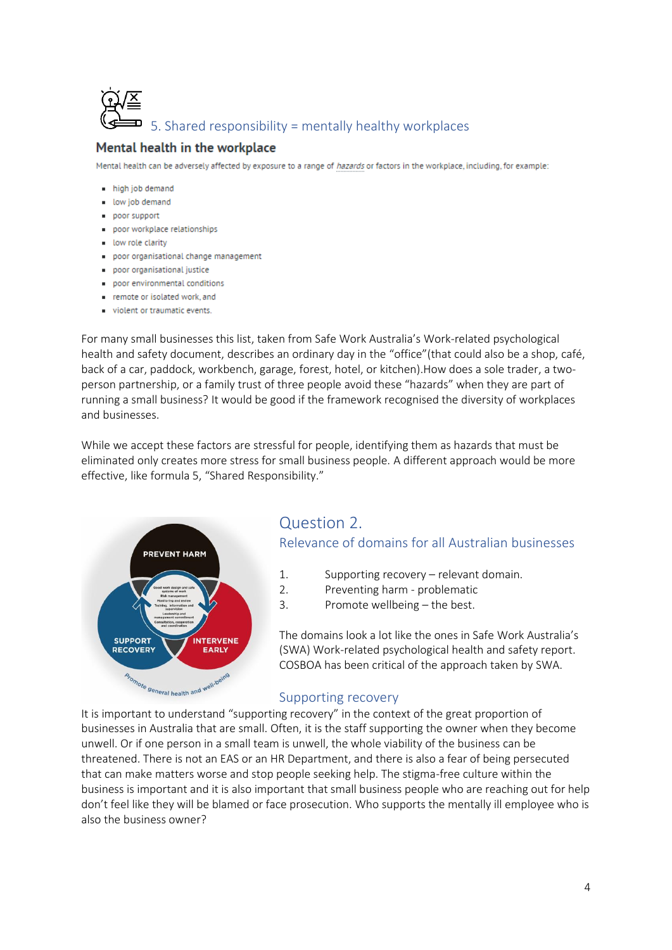

#### Mental health in the workplace

Mental health can be adversely affected by exposure to a range of hazards or factors in the workplace, including, for example:

- high job demand
- low job demand
- poor support
- poor workplace relationships
- low role clarity
- poor organisational change management
- . poor organisational justice
- poor environmental conditions
- remote or isolated work, and
- violent or traumatic events.

For many small businesses this list, taken from Safe Work Australia's Work-related psychological health and safety document, describes an ordinary day in the "office"(that could also be a shop, café, back of a car, paddock, workbench, garage, forest, hotel, or kitchen).How does a sole trader, a twoperson partnership, or a family trust of three people avoid these "hazards" when they are part of running a small business? It would be good if the framework recognised the diversity of workplaces and businesses.

While we accept these factors are stressful for people, identifying them as hazards that must be eliminated only creates more stress for small business people. A different approach would be more effective, like formula 5, "Shared Responsibility."



## Question 2. Relevance of domains for all Australian businesses

- 1. Supporting recovery relevant domain.
- 2. Preventing harm problematic
- 3. Promote wellbeing the best.

The domains look a lot like the ones in Safe Work Australia's (SWA) Work-related psychological health and safety report. COSBOA has been critical of the approach taken by SWA.

#### Supporting recovery

It is important to understand "supporting recovery" in the context of the great proportion of businesses in Australia that are small. Often, it is the staff supporting the owner when they become unwell. Or if one person in a small team is unwell, the whole viability of the business can be threatened. There is not an EAS or an HR Department, and there is also a fear of being persecuted that can make matters worse and stop people seeking help. The stigma-free culture within the business is important and it is also important that small business people who are reaching out for help don't feel like they will be blamed or face prosecution. Who supports the mentally ill employee who is also the business owner?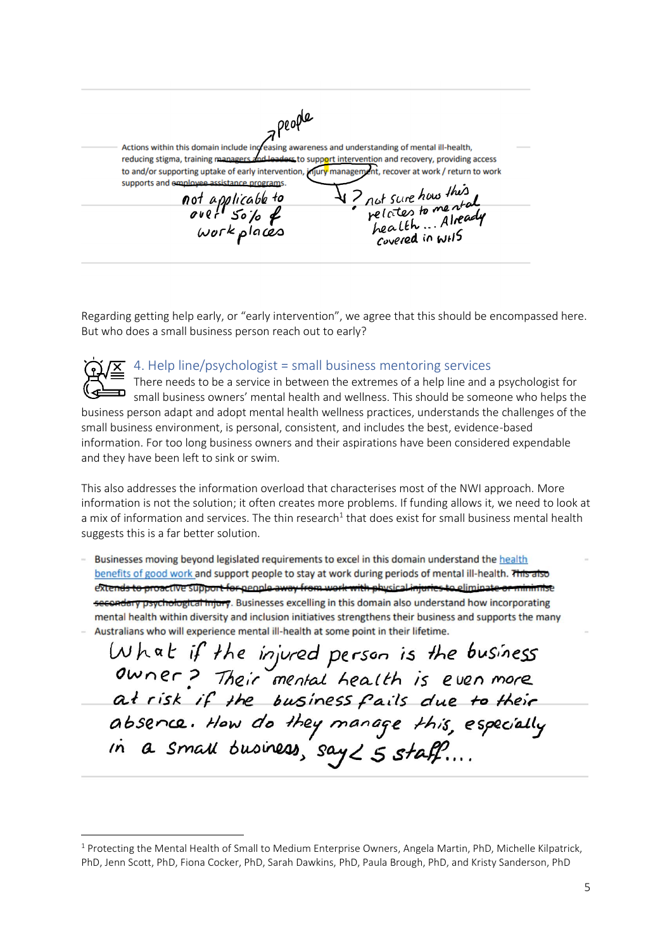Actions within this domain include in reasing awareness and understanding of mental ill-health, reducing stigma, training manager ers to support intervention and recovery, providing access to and/or supporting uptake of early intervention, injury management, recover at work / return to work supports and employee assistance programs. V? not sure how this<br>relates to me stall<br>health ... Already not applicable to<br>over 50% &<br>work places Covered in WHS

Regarding getting help early, or "early intervention", we agree that this should be encompassed here. But who does a small business person reach out to early?



#### 4. Help line/psychologist = small business mentoring services

There needs to be a service in between the extremes of a help line and a psychologist for **EXALD FIGURE THE STARK STARK STARK STARK SHOWS SHOW SHOWS SHOWS** SMALL SMALL SMALL STARK STARK STARK STARK STARK business person adapt and adopt mental health wellness practices, understands the challenges of the small business environment, is personal, consistent, and includes the best, evidence-based information. For too long business owners and their aspirations have been considered expendable and they have been left to sink or swim.

This also addresses the information overload that characterises most of the NWI approach. More information is not the solution; it often creates more problems. If funding allows it, we need to look at a mix of information and services. The thin research<sup>1</sup> that does exist for small business mental health suggests this is a far better solution.

Businesses moving beyond legislated requirements to excel in this domain understand the health benefits of good work and support people to stay at work during periods of mental ill-health. This also extends to proactive support for people away from work with physical injuries to elimina secondary psychological injury. Businesses excelling in this domain also understand how incorporating mental health within diversity and inclusion initiatives strengthens their business and supports the many Australians who will experience mental ill-health at some point in their lifetime.

What if the injured person is the business<br>Owner? Their mental health is even more at risk if the business fails due to their absence. How do they manage this, especially<br>in a small business, say  $\angle$  5 staff....

<sup>1</sup> Protecting the Mental Health of Small to Medium Enterprise Owners, Angela Martin, PhD, Michelle Kilpatrick, PhD, Jenn Scott, PhD, Fiona Cocker, PhD, Sarah Dawkins, PhD, Paula Brough, PhD, and Kristy Sanderson, PhD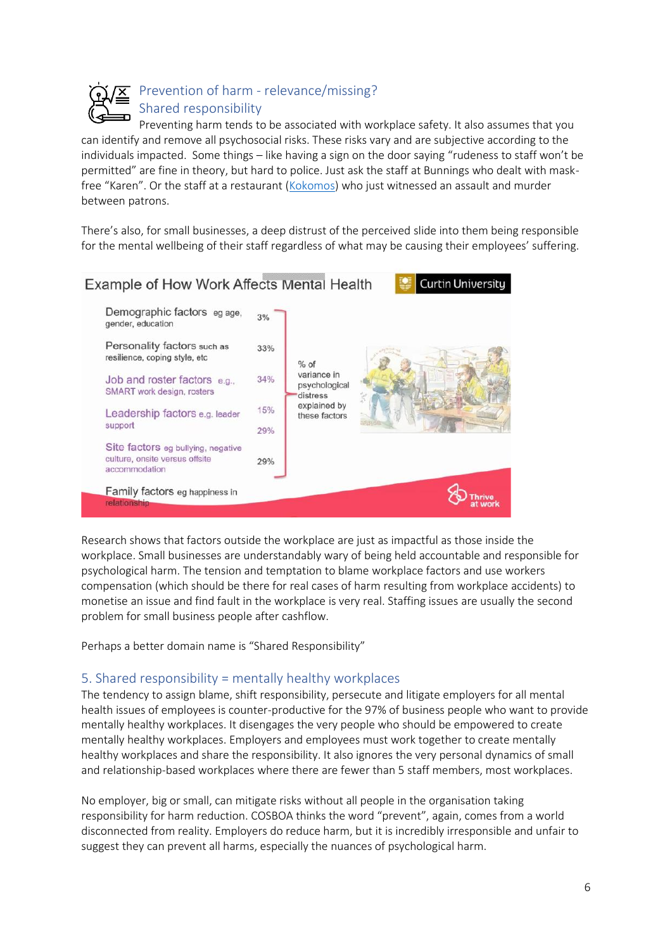

## Prevention of harm - relevance/missing? Shared responsibility

Preventing harm tends to be associated with workplace safety. It also assumes that you can identify and remove all psychosocial risks. These risks vary and are subjective according to the individuals impacted. Some things – like having a sign on the door saying "rudeness to staff won't be permitted" are fine in theory, but hard to police. Just ask the staff at Bunnings who dealt with maskfree "Karen". Or the staff at a restaurant [\(Kokomos\)](https://www.abc.net.au/news/2020-08-05/men-in-police-custody-over-kokomos-fight-linked-to-bikie-death/12525378) who just witnessed an assault and murder between patrons.

There's also, for small businesses, a deep distrust of the perceived slide into them being responsible for the mental wellbeing of their staff regardless of what may be causing their employees' suffering.



Research shows that factors outside the workplace are just as impactful as those inside the workplace. Small businesses are understandably wary of being held accountable and responsible for psychological harm. The tension and temptation to blame workplace factors and use workers compensation (which should be there for real cases of harm resulting from workplace accidents) to monetise an issue and find fault in the workplace is very real. Staffing issues are usually the second problem for small business people after cashflow.

Perhaps a better domain name is "Shared Responsibility"

#### 5. Shared responsibility = mentally healthy workplaces

The tendency to assign blame, shift responsibility, persecute and litigate employers for all mental health issues of employees is counter-productive for the 97% of business people who want to provide mentally healthy workplaces. It disengages the very people who should be empowered to create mentally healthy workplaces. Employers and employees must work together to create mentally healthy workplaces and share the responsibility. It also ignores the very personal dynamics of small and relationship-based workplaces where there are fewer than 5 staff members, most workplaces.

No employer, big or small, can mitigate risks without all people in the organisation taking responsibility for harm reduction. COSBOA thinks the word "prevent", again, comes from a world disconnected from reality. Employers do reduce harm, but it is incredibly irresponsible and unfair to suggest they can prevent all harms, especially the nuances of psychological harm.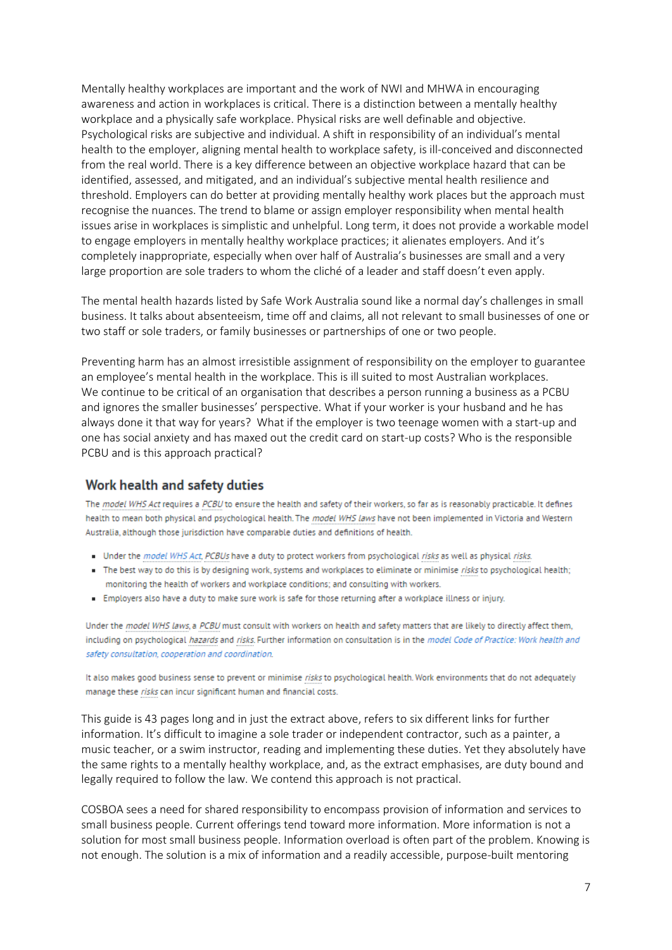Mentally healthy workplaces are important and the work of NWI and MHWA in encouraging awareness and action in workplaces is critical. There is a distinction between a mentally healthy workplace and a physically safe workplace. Physical risks are well definable and objective. Psychological risks are subjective and individual. A shift in responsibility of an individual's mental health to the employer, aligning mental health to workplace safety, is ill-conceived and disconnected from the real world. There is a key difference between an objective workplace hazard that can be identified, assessed, and mitigated, and an individual's subjective mental health resilience and threshold. Employers can do better at providing mentally healthy work places but the approach must recognise the nuances. The trend to blame or assign employer responsibility when mental health issues arise in workplaces is simplistic and unhelpful. Long term, it does not provide a workable model to engage employers in mentally healthy workplace practices; it alienates employers. And it's completely inappropriate, especially when over half of Australia's businesses are small and a very large proportion are sole traders to whom the cliché of a leader and staff doesn't even apply.

The mental health hazards listed by Safe Work Australia sound like a normal day's challenges in small business. It talks about absenteeism, time off and claims, all not relevant to small businesses of one or two staff or sole traders, or family businesses or partnerships of one or two people.

Preventing harm has an almost irresistible assignment of responsibility on the employer to guarantee an employee's mental health in the workplace. This is ill suited to most Australian workplaces. We continue to be critical of an organisation that describes a person running a business as a PCBU and ignores the smaller businesses' perspective. What if your worker is your husband and he has always done it that way for years? What if the employer is two teenage women with a start-up and one has social anxiety and has maxed out the credit card on start-up costs? Who is the responsible PCBU and is this approach practical?

#### Work health and safety duties

The model WHS Act requires a PCBU to ensure the health and safety of their workers, so far as is reasonably practicable. It defines health to mean both physical and psychological health. The model WHS laws have not been implemented in Victoria and Western Australia, although those jurisdiction have comparable duties and definitions of health.

- Under the model WHS Act, PCBUs have a duty to protect workers from psychological risks as well as physical risks.
- The best way to do this is by designing work, systems and workplaces to eliminate or minimise risks to psychological health; monitoring the health of workers and workplace conditions; and consulting with workers.
- · Employers also have a duty to make sure work is safe for those returning after a workplace illness or injury.

Under the model WHS laws, a PCBU must consult with workers on health and safety matters that are likely to directly affect them, including on psychological hazards and risks. Further information on consultation is in the model Code of Practice: Work health and safety consultation, cooperation and coordination.

It also makes good business sense to prevent or minimise risks to psychological health. Work environments that do not adequately manage these risks can incur significant human and financial costs.

This guide is 43 pages long and in just the extract above, refers to six different links for further information. It's difficult to imagine a sole trader or independent contractor, such as a painter, a music teacher, or a swim instructor, reading and implementing these duties. Yet they absolutely have the same rights to a mentally healthy workplace, and, as the extract emphasises, are duty bound and legally required to follow the law. We contend this approach is not practical.

COSBOA sees a need for shared responsibility to encompass provision of information and services to small business people. Current offerings tend toward more information. More information is not a solution for most small business people. Information overload is often part of the problem. Knowing is not enough. The solution is a mix of information and a readily accessible, purpose-built mentoring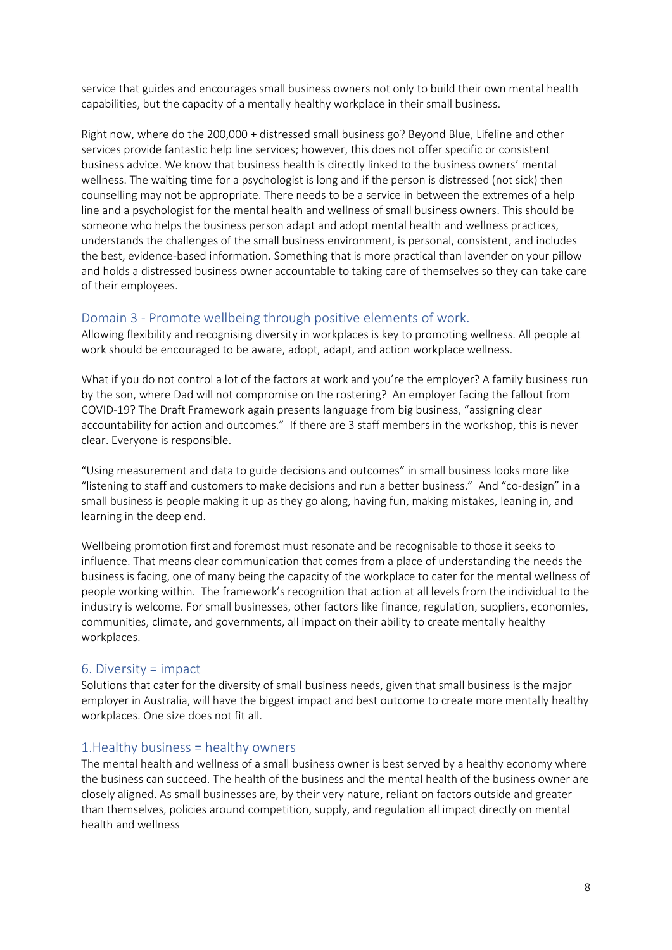service that guides and encourages small business owners not only to build their own mental health capabilities, but the capacity of a mentally healthy workplace in their small business.

Right now, where do the 200,000 + distressed small business go? Beyond Blue, Lifeline and other services provide fantastic help line services; however, this does not offer specific or consistent business advice. We know that business health is directly linked to the business owners' mental wellness. The waiting time for a psychologist is long and if the person is distressed (not sick) then counselling may not be appropriate. There needs to be a service in between the extremes of a help line and a psychologist for the mental health and wellness of small business owners. This should be someone who helps the business person adapt and adopt mental health and wellness practices, understands the challenges of the small business environment, is personal, consistent, and includes the best, evidence-based information. Something that is more practical than lavender on your pillow and holds a distressed business owner accountable to taking care of themselves so they can take care of their employees.

#### Domain 3 - Promote wellbeing through positive elements of work.

Allowing flexibility and recognising diversity in workplaces is key to promoting wellness. All people at work should be encouraged to be aware, adopt, adapt, and action workplace wellness.

What if you do not control a lot of the factors at work and you're the employer? A family business run by the son, where Dad will not compromise on the rostering? An employer facing the fallout from COVID-19? The Draft Framework again presents language from big business, "assigning clear accountability for action and outcomes." If there are 3 staff members in the workshop, this is never clear. Everyone is responsible.

"Using measurement and data to guide decisions and outcomes" in small business looks more like "listening to staff and customers to make decisions and run a better business." And "co-design" in a small business is people making it up as they go along, having fun, making mistakes, leaning in, and learning in the deep end.

Wellbeing promotion first and foremost must resonate and be recognisable to those it seeks to influence. That means clear communication that comes from a place of understanding the needs the business is facing, one of many being the capacity of the workplace to cater for the mental wellness of people working within. The framework's recognition that action at all levels from the individual to the industry is welcome. For small businesses, other factors like finance, regulation, suppliers, economies, communities, climate, and governments, all impact on their ability to create mentally healthy workplaces.

#### 6. Diversity = impact

Solutions that cater for the diversity of small business needs, given that small business is the major employer in Australia, will have the biggest impact and best outcome to create more mentally healthy workplaces. One size does not fit all.

#### 1.Healthy business = healthy owners

The mental health and wellness of a small business owner is best served by a healthy economy where the business can succeed. The health of the business and the mental health of the business owner are closely aligned. As small businesses are, by their very nature, reliant on factors outside and greater than themselves, policies around competition, supply, and regulation all impact directly on mental health and wellness